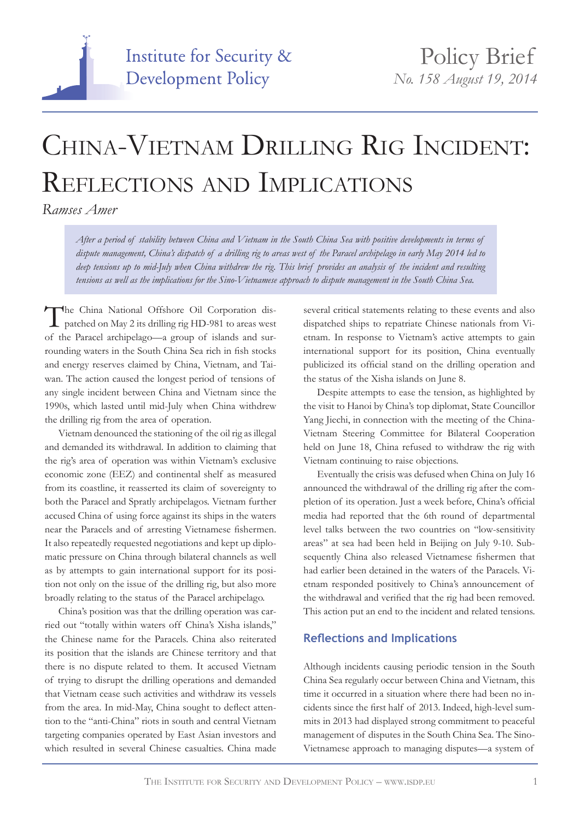

## China-Vietnam Drilling Rig Incident: Reflections and Implications

*Ramses Amer*

*After a period of stability between China and Vietnam in the South China Sea with positive developments in terms of dispute management, China's dispatch of a drilling rig to areas west of the Paracel archipelago in early May 2014 led to deep tensions up to mid-July when China withdrew the rig. This brief provides an analysis of the incident and resulting tensions as well as the implications for the Sino-Vietnamese approach to dispute management in the South China Sea.*

The China National Offshore Oil Corporation dis-<br>patched on May 2 its drilling rig HD-981 to areas west of the Paracel archipelago—a group of islands and surrounding waters in the South China Sea rich in fish stocks and energy reserves claimed by China, Vietnam, and Taiwan. The action caused the longest period of tensions of any single incident between China and Vietnam since the 1990s, which lasted until mid-July when China withdrew the drilling rig from the area of operation.

Vietnam denounced the stationing of the oil rig as illegal and demanded its withdrawal. In addition to claiming that the rig's area of operation was within Vietnam's exclusive economic zone (EEZ) and continental shelf as measured from its coastline, it reasserted its claim of sovereignty to both the Paracel and Spratly archipelagos. Vietnam further accused China of using force against its ships in the waters near the Paracels and of arresting Vietnamese fishermen. It also repeatedly requested negotiations and kept up diplomatic pressure on China through bilateral channels as well as by attempts to gain international support for its position not only on the issue of the drilling rig, but also more broadly relating to the status of the Paracel archipelago.

China's position was that the drilling operation was carried out "totally within waters off China's Xisha islands," the Chinese name for the Paracels. China also reiterated its position that the islands are Chinese territory and that there is no dispute related to them. It accused Vietnam of trying to disrupt the drilling operations and demanded that Vietnam cease such activities and withdraw its vessels from the area. In mid-May, China sought to deflect attention to the "anti-China" riots in south and central Vietnam targeting companies operated by East Asian investors and which resulted in several Chinese casualties. China made

several critical statements relating to these events and also dispatched ships to repatriate Chinese nationals from Vietnam. In response to Vietnam's active attempts to gain international support for its position, China eventually publicized its official stand on the drilling operation and the status of the Xisha islands on June 8.

Despite attempts to ease the tension, as highlighted by the visit to Hanoi by China's top diplomat, State Councillor Yang Jiechi, in connection with the meeting of the China-Vietnam Steering Committee for Bilateral Cooperation held on June 18, China refused to withdraw the rig with Vietnam continuing to raise objections.

Eventually the crisis was defused when China on July 16 announced the withdrawal of the drilling rig after the completion of its operation. Just a week before, China's official media had reported that the 6th round of departmental level talks between the two countries on "low-sensitivity areas" at sea had been held in Beijing on July 9-10. Subsequently China also released Vietnamese fishermen that had earlier been detained in the waters of the Paracels. Vietnam responded positively to China's announcement of the withdrawal and verified that the rig had been removed. This action put an end to the incident and related tensions.

## **Reflections and Implications**

Although incidents causing periodic tension in the South China Sea regularly occur between China and Vietnam, this time it occurred in a situation where there had been no incidents since the first half of 2013. Indeed, high-level summits in 2013 had displayed strong commitment to peaceful management of disputes in the South China Sea. The Sino-Vietnamese approach to managing disputes—a system of